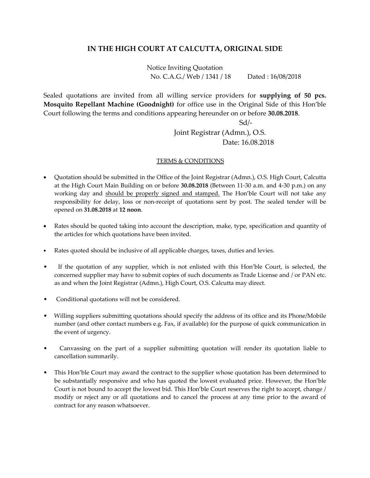## **IN THE HIGH COURT AT CALCUTTA, ORIGINAL SIDE**

Notice Inviting Quotation No. C.A.G./ Web / 1341 / 18 Dated : 16/08/2018

Sealed quotations are invited from all willing service providers for **supplying of 50 pcs. Mosquito Repellant Machine (Goodnight)** for office use in the Original Side of this Hon'ble Court following the terms and conditions appearing hereunder on or before **30.08.2018**.

Sd/-

## Joint Registrar (Admn.), O.S. Date: 16.08.2018

## TERMS & CONDITIONS

- Quotation should be submitted in the Office of the Joint Registrar (Admn.), O.S. High Court, Calcutta at the High Court Main Building on or before **30.08.2018** (Between 11-30 a.m. and 4-30 p.m.) on any working day and should be properly signed and stamped. The Hon'ble Court will not take any responsibility for delay, loss or non-receipt of quotations sent by post. The sealed tender will be opened on **31.08.2018** at **12 noon**.
- Rates should be quoted taking into account the description, make, type, specification and quantity of the articles for which quotations have been invited.
- Rates quoted should be inclusive of all applicable charges, taxes, duties and levies.
- If the quotation of any supplier, which is not enlisted with this Hon'ble Court, is selected, the concerned supplier may have to submit copies of such documents as Trade License and / or PAN etc. as and when the Joint Registrar (Admn.), High Court, O.S. Calcutta may direct.
- Conditional quotations will not be considered.
- Willing suppliers submitting quotations should specify the address of its office and its Phone/Mobile number (and other contact numbers e.g. Fax, if available) for the purpose of quick communication in the event of urgency.
- Canvassing on the part of a supplier submitting quotation will render its quotation liable to cancellation summarily.
- This Hon'ble Court may award the contract to the supplier whose quotation has been determined to be substantially responsive and who has quoted the lowest evaluated price. However, the Hon'ble Court is not bound to accept the lowest bid. This Hon'ble Court reserves the right to accept, change / modify or reject any or all quotations and to cancel the process at any time prior to the award of contract for any reason whatsoever.